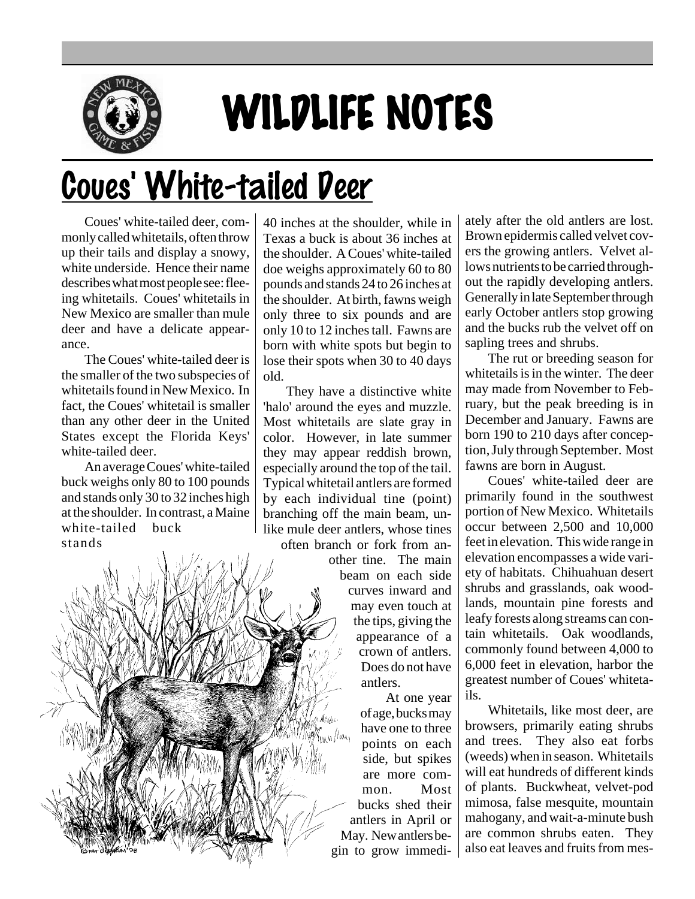

## WILDLIFE NOTES

## Coues' White-tailed Deer

Coues' white-tailed deer, commonly called whitetails, often throw up their tails and display a snowy, white underside. Hence their name describes what most people see: fleeing whitetails. Coues' whitetails in New Mexico are smaller than mule deer and have a delicate appearance.

The Coues' white-tailed deer is the smaller of the two subspecies of whitetails found in New Mexico. In fact, the Coues' whitetail is smaller than any other deer in the United States except the Florida Keys' white-tailed deer.

An average Coues' white-tailed buck weighs only 80 to 100 pounds and stands only 30 to 32 inches high at the shoulder. In contrast, a Maine white-tailed buck stands

40 inches at the shoulder, while in Texas a buck is about 36 inches at the shoulder. A Coues' white-tailed doe weighs approximately 60 to 80 pounds and stands 24 to 26 inches at the shoulder. At birth, fawns weigh only three to six pounds and are only 10 to 12 inches tall. Fawns are born with white spots but begin to lose their spots when 30 to 40 days old.

They have a distinctive white 'halo' around the eyes and muzzle. Most whitetails are slate gray in color. However, in late summer they may appear reddish brown, especially around the top of the tail. Typical whitetail antlers are formed by each individual tine (point) branching off the main beam, unlike mule deer antlers, whose tines often branch or fork from an-

other tine. The main beam on each side curves inward and may even touch at the tips, giving the appearance of a crown of antlers. Does do not have antlers.

At one year of age, bucks may have one to three llun. points on each side, but spikes are more common. Most bucks shed their antlers in April or May. New antlers begin to grow immediately after the old antlers are lost. Brown epidermis called velvet covers the growing antlers. Velvet allows nutrients to be carried throughout the rapidly developing antlers. Generally in late September through early October antlers stop growing and the bucks rub the velvet off on sapling trees and shrubs.

The rut or breeding season for whitetails is in the winter. The deer may made from November to February, but the peak breeding is in December and January. Fawns are born 190 to 210 days after conception, July through September. Most fawns are born in August.

Coues' white-tailed deer are primarily found in the southwest portion of New Mexico. Whitetails occur between 2,500 and 10,000 feet in elevation. This wide range in elevation encompasses a wide variety of habitats. Chihuahuan desert shrubs and grasslands, oak woodlands, mountain pine forests and leafy forests along streams can contain whitetails. Oak woodlands, commonly found between 4,000 to 6,000 feet in elevation, harbor the greatest number of Coues' whitetails.

Whitetails, like most deer, are browsers, primarily eating shrubs and trees. They also eat forbs (weeds) when in season. Whitetails will eat hundreds of different kinds of plants. Buckwheat, velvet-pod mimosa, false mesquite, mountain mahogany, and wait-a-minute bush are common shrubs eaten. They also eat leaves and fruits from mes